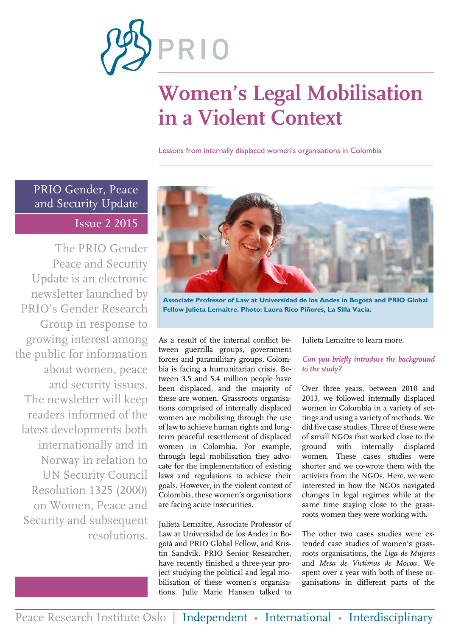

# **Women's Legal Mobilisation in a Violent Context**

Lessons from internally displaced women's organisations in Colombia

#### PRIO Gender, Peace and Security Update Issue 2 2015

The PRIO Gender Peace and Security Update is an electronic newsletter launched by PRIO's Gender Research Group in response to growing interest among the public for information about women, peace and security issues. The newsletter will keep readers informed of the latest developments both internationally and in Norway in relation to UN Security Council Resolution 1325 (2000) on Women, Peace and Security and subsequent resolutions.



**Associate Professor of Law at Universidad de los Andes in Bogotá and PRIO Global Fellow Julieta Lemaitre. Photo: Laura Rico Piñeres, La Silla Vacia.**

As a result of the internal conflict between guerrilla groups, government forces and paramilitary groups, Colombia is facing a humanitarian crisis. Between 3.5 and 5.4 million people have been displaced, and the majority of these are women. Grassroots organisations comprised of internally displaced women are mobilising through the use of law to achieve human rights and longterm peaceful resettlement of displaced women in Colombia. For example, through legal mobilisation they advocate for the implementation of existing laws and regulations to achieve their goals. However, in the violent context of Colombia, these women's organisations are facing acute insecurities.

Julieta Lemaitre, Associate Professor of Law at Universidad de los Andes in Bogotá and PRIO Global Fellow, and Kristin Sandvik, PRIO Senior Researcher, have recently finished a three-year project studying the political and legal mobilisation of these women's organisations. Julie Marie Hansen talked to Julieta Lemaitre to learn more.

#### *Can you briefly introduce the background to the study?*

Over three years, between 2010 and 2013, we followed internally displaced women in Colombia in a variety of settings and using a variety of methods. We did five case studies. Three of these were of small NGOs that worked close to the ground with internally displaced women. These cases studies were shorter and we co-wrote them with the activists from the NGOs. Here, we were interested in how the NGOs navigated changes in legal regimes while at the same time staying close to the grassroots women they were working with.

The other two cases studies were extended case studies of women's grassroots organisations, the *Liga de Mujeres* and *Mesa de Victimas de Mocoa*. We spent over a year with both of these organisations in different parts of the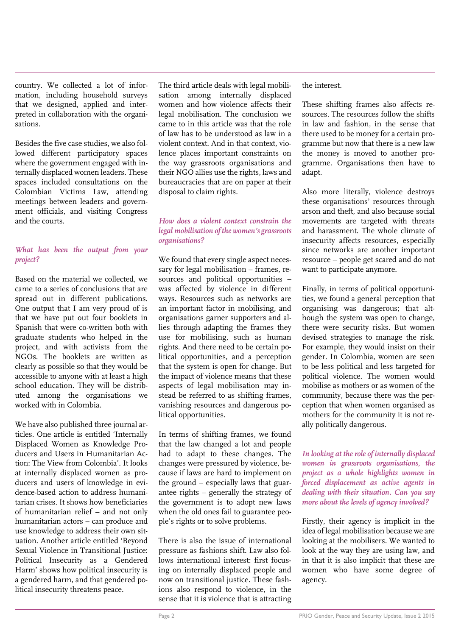country. We collected a lot of information, including household surveys that we designed, applied and interpreted in collaboration with the organisations.

Besides the five case studies, we also followed different participatory spaces where the government engaged with internally displaced women leaders. These spaces included consultations on the Colombian Victims Law, attending meetings between leaders and government officials, and visiting Congress and the courts.

#### *What has been the output from your project?*

Based on the material we collected, we came to a series of conclusions that are spread out in different publications. One output that I am very proud of is that we have put out four booklets in Spanish that were co-written both with graduate students who helped in the project, and with activists from the NGOs. The booklets are written as clearly as possible so that they would be accessible to anyone with at least a high school education. They will be distributed among the organisations we worked with in Colombia.

We have also published three journal articles. One article is entitled 'Internally Displaced Women as Knowledge Producers and Users in Humanitarian Action: The View from Colombia'. It looks at internally displaced women as producers and users of knowledge in evidence-based action to address humanitarian crises. It shows how beneficiaries of humanitarian relief – and not only humanitarian actors – can produce and use knowledge to address their own situation. Another article entitled 'Beyond Sexual Violence in Transitional Justice: Political Insecurity as a Gendered Harm' shows how political insecurity is a gendered harm, and that gendered political insecurity threatens peace.

The third article deals with legal mobilisation among internally displaced women and how violence affects their legal mobilisation. The conclusion we came to in this article was that the role of law has to be understood as law in a violent context. And in that context, violence places important constraints on the way grassroots organisations and their NGO allies use the rights, laws and bureaucracies that are on paper at their disposal to claim rights.

#### *How does a violent context constrain the legal mobilisation of the women's grassroots organisations?*

We found that every single aspect necessary for legal mobilisation – frames, resources and political opportunities – was affected by violence in different ways. Resources such as networks are an important factor in mobilising, and organisations garner supporters and allies through adapting the frames they use for mobilising, such as human rights. And there need to be certain political opportunities, and a perception that the system is open for change. But the impact of violence means that these aspects of legal mobilisation may instead be referred to as shifting frames, vanishing resources and dangerous political opportunities.

In terms of shifting frames, we found that the law changed a lot and people had to adapt to these changes. The changes were pressured by violence, because if laws are hard to implement on the ground – especially laws that guarantee rights – generally the strategy of the government is to adopt new laws when the old ones fail to guarantee people's rights or to solve problems.

There is also the issue of international pressure as fashions shift. Law also follows international interest: first focusing on internally displaced people and now on transitional justice. These fashions also respond to violence, in the sense that it is violence that is attracting the interest.

These shifting frames also affects resources. The resources follow the shifts in law and fashion, in the sense that there used to be money for a certain programme but now that there is a new law the money is moved to another programme. Organisations then have to adapt.

Also more literally, violence destroys these organisations' resources through arson and theft, and also because social movements are targeted with threats and harassment. The whole climate of insecurity affects resources, especially since networks are another important resource – people get scared and do not want to participate anymore.

Finally, in terms of political opportunities, we found a general perception that organising was dangerous; that although the system was open to change, there were security risks. But women devised strategies to manage the risk. For example, they would insist on their gender. In Colombia, women are seen to be less political and less targeted for political violence. The women would mobilise as mothers or as women of the community, because there was the perception that when women organised as mothers for the community it is not really politically dangerous.

*In looking at the role of internally displaced women in grassroots organisations, the project as a whole highlights women in forced displacement as active agents in dealing with their situation. Can you say more about the levels of agency involved?*

Firstly, their agency is implicit in the idea of legal mobilisation because we are looking at the mobilisers. We wanted to look at the way they are using law, and in that it is also implicit that these are women who have some degree of agency.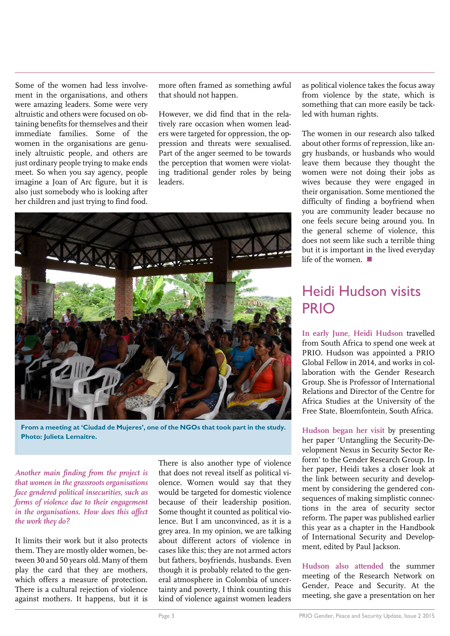Some of the women had less involvement in the organisations, and others were amazing leaders. Some were very altruistic and others were focused on obtaining benefits for themselves and their immediate families. Some of the women in the organisations are genuinely altruistic people, and others are just ordinary people trying to make ends meet. So when you say agency, people imagine a Joan of Arc figure, but it is also just somebody who is looking after her children and just trying to find food.

more often framed as something awful that should not happen.

However, we did find that in the relatively rare occasion when women leaders were targeted for oppression, the oppression and threats were sexualised. Part of the anger seemed to be towards the perception that women were violating traditional gender roles by being leaders.



**From a meeting at 'Ciudad de Mujeres', one of the NGOs that took part in the study. Photo: Julieta Lemaitre.**

*Another main finding from the project is that women in the grassroots organisations face gendered political insecurities, such as forms of violence due to their engagement in the organisations. How does this affect the work they do?*

It limits their work but it also protects them. They are mostly older women, between 30 and 50 years old. Many of them play the card that they are mothers, which offers a measure of protection. There is a cultural rejection of violence against mothers. It happens, but it is

There is also another type of violence that does not reveal itself as political violence. Women would say that they would be targeted for domestic violence because of their leadership position. Some thought it counted as political violence. But I am unconvinced, as it is a grey area. In my opinion, we are talking about different actors of violence in cases like this; they are not armed actors but fathers, boyfriends, husbands. Even though it is probably related to the general atmosphere in Colombia of uncertainty and poverty, I think counting this kind of violence against women leaders as political violence takes the focus away from violence by the state, which is something that can more easily be tackled with human rights.

The women in our research also talked about other forms of repression, like angry husbands, or husbands who would leave them because they thought the women were not doing their jobs as wives because they were engaged in their organisation. Some mentioned the difficulty of finding a boyfriend when you are community leader because no one feels secure being around you. In the general scheme of violence, this does not seem like such a terrible thing but it is important in the lived everyday life of the women.

### Heidi Hudson visits PRIO

**In early June, Heidi Hudson** travelled from South Africa to spend one week at PRIO. Hudson was appointed a PRIO Global Fellow in 2014, and works in collaboration with the Gender Research Group. She is Professor of International Relations and Director of the Centre for Africa Studies at the University of the Free State, Bloemfontein, South Africa.

**Hudson began her visit** by presenting her paper 'Untangling the Security-Development Nexus in Security Sector Reform' to the Gender Research Group. In her paper, Heidi takes a closer look at the link between security and development by considering the gendered consequences of making simplistic connections in the area of security sector reform. The paper was published earlier this year as a chapter in the Handbook of International Security and Development, edited by Paul Jackson.

**Hudson also attended** the summer meeting of the Research Network on Gender, Peace and Security. At the meeting, she gave a presentation on her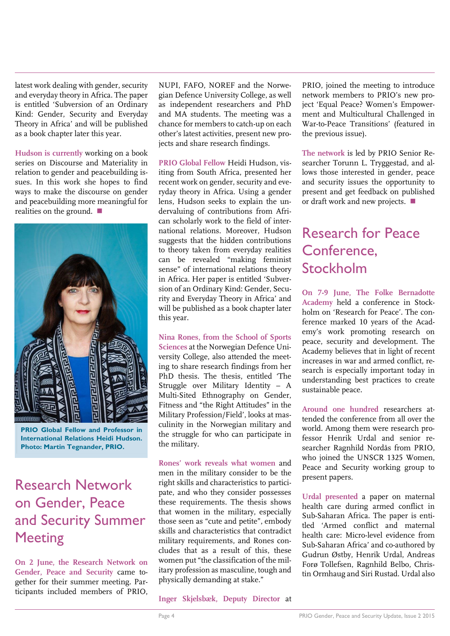latest work dealing with gender, security and everyday theory in Africa. The paper is entitled 'Subversion of an Ordinary Kind: Gender, Security and Everyday Theory in Africa' and will be published as a book chapter later this year.

**Hudson is currently** working on a book series on Discourse and Materiality in relation to gender and peacebuilding issues. In this work she hopes to find ways to make the discourse on gender and peacebuilding more meaningful for realities on the ground.



**PRIO Global Fellow and Professor in International Relations Heidi Hudson. Photo: Martin Tegnander, PRIO.**

### Research Network on Gender, Peace and Security Summer **Meeting**

**On 2 June, the Research Network on Gender, Peace and Security** came together for their summer meeting. Participants included members of PRIO, NUPI, FAFO, NOREF and the Norwegian Defence University College, as well as independent researchers and PhD and MA students. The meeting was a chance for members to catch-up on each other's latest activities, present new projects and share research findings.

**PRIO Global Fellow** Heidi Hudson, visiting from South Africa, presented her recent work on gender, security and everyday theory in Africa. Using a gender lens, Hudson seeks to explain the undervaluing of contributions from African scholarly work to the field of international relations. Moreover, Hudson suggests that the hidden contributions to theory taken from everyday realities can be revealed "making feminist sense" of international relations theory in Africa. Her paper is entitled 'Subversion of an Ordinary Kind: Gender, Security and Everyday Theory in Africa' and will be published as a book chapter later this year.

**Nina Rones, from the School of Sports Sciences** at the Norwegian Defence University College, also attended the meeting to share research findings from her PhD thesis. The thesis, entitled 'The Struggle over Military Identity – A Multi-Sited Ethnography on Gender, Fitness and "the Right Attitudes" in the Military Profession/Field', looks at masculinity in the Norwegian military and the struggle for who can participate in the military.

**Rones' work reveals what women** and men in the military consider to be the right skills and characteristics to participate, and who they consider possesses these requirements. The thesis shows that women in the military, especially those seen as "cute and petite", embody skills and characteristics that contradict military requirements, and Rones concludes that as a result of this, these women put "the classification of the military profession as masculine, tough and physically demanding at stake."

PRIO, joined the meeting to introduce network members to PRIO's new project 'Equal Peace? Women's Empowerment and Multicultural Challenged in War-to-Peace Transitions' (featured in the previous issue).

**The network** is led by PRIO Senior Researcher Torunn L. Tryggestad, and allows those interested in gender, peace and security issues the opportunity to present and get feedback on published or draft work and new projects.

### Research for Peace Conference, Stockholm

**On 7-9 June, The Folke Bernadotte Academy** held a conference in Stockholm on 'Research for Peace'. The conference marked 10 years of the Academy's work promoting research on peace, security and development. The Academy believes that in light of recent increases in war and armed conflict, research is especially important today in understanding best practices to create sustainable peace.

**Around one hundred** researchers attended the conference from all over the world. Among them were research professor Henrik Urdal and senior researcher Ragnhild Nordås from PRIO, who joined the UNSCR 1325 Women, Peace and Security working group to present papers.

**Urdal presented** a paper on maternal health care during armed conflict in Sub-Saharan Africa. The paper is entitled 'Armed conflict and maternal health care: Micro-level evidence from Sub-Saharan Africa' and co-authored by Gudrun Østby, Henrik Urdal, Andreas Forø Tollefsen, Ragnhild Belbo, Christin Ormhaug and Siri Rustad. Urdal also

**Inger Skjelsbæk, Deputy Director** at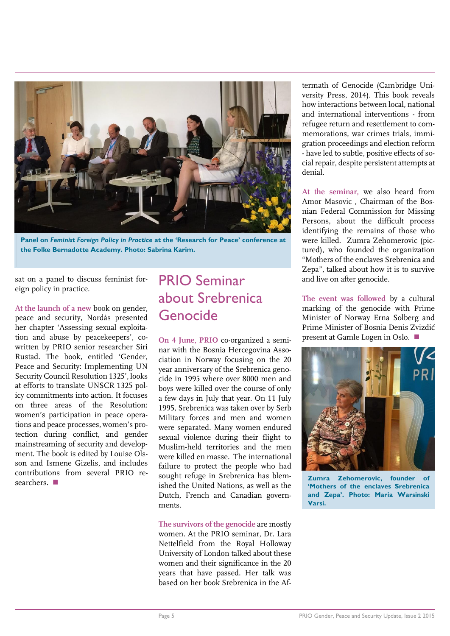

**Panel on** *Feminist Foreign Policy in Practice* **at the 'Research for Peace' conference at the Folke Bernadotte Academy. Photo: Sabrina Karim.**

sat on a panel to discuss feminist foreign policy in practice.

**At the launch of a new** book on gender, peace and security, Nordås presented her chapter 'Assessing sexual exploitation and abuse by peacekeepers', cowritten by PRIO senior researcher Siri Rustad. The book, entitled 'Gender, Peace and Security: Implementing UN Security Council Resolution 1325', looks at efforts to translate UNSCR 1325 policy commitments into action. It focuses on three areas of the Resolution: women's participation in peace operations and peace processes, women's protection during conflict, and gender mainstreaming of security and development. The book is edited by Louise Olsson and Ismene Gizelis, and includes contributions from several PRIO researchers.

#### PRIO Seminar about Srebrenica Genocide

**On 4 June, PRIO** co-organized a seminar with the Bosnia Hercegovina Association in Norway focusing on the 20 year anniversary of the Srebrenica genocide in 1995 where over 8000 men and boys were killed over the course of only a few days in July that year. On 11 July 1995, Srebrenica was taken over by Serb Military forces and men and women were separated. Many women endured sexual violence during their flight to Muslim-held territories and the men were killed en masse. The international failure to protect the people who had sought refuge in Srebrenica has blemished the United Nations, as well as the Dutch, French and Canadian governments.

**The survivors of the genocide** are mostly women. At the PRIO seminar, Dr. Lara Nettelfield from the Royal Holloway University of London talked about these women and their significance in the 20 years that have passed. Her talk was based on her book Srebrenica in the Aftermath of Genocide (Cambridge University Press, 2014). This book reveals how interactions between local, national and international interventions - from refugee return and resettlement to commemorations, war crimes trials, immigration proceedings and election reform - have led to subtle, positive effects of social repair, despite persistent attempts at denial.

**At the seminar,** we also heard from Amor Masovic , Chairman of the Bosnian Federal Commission for Missing Persons, about the difficult process identifying the remains of those who were killed. Zumra Zehomerovic (pictured), who founded the organization "Mothers of the enclaves Srebrenica and Zepa", talked about how it is to survive and live on after genocide.

**The event was followed** by a cultural marking of the genocide with Prime Minister of Norway Erna Solberg and Prime Minister of Bosnia Denis Zvizdić present at Gamle Logen in Oslo.



**Zumra Zehomerovic, founder of 'Mothers of the enclaves Srebrenica and Zepa'. Photo: Maria Warsinski Varsi.**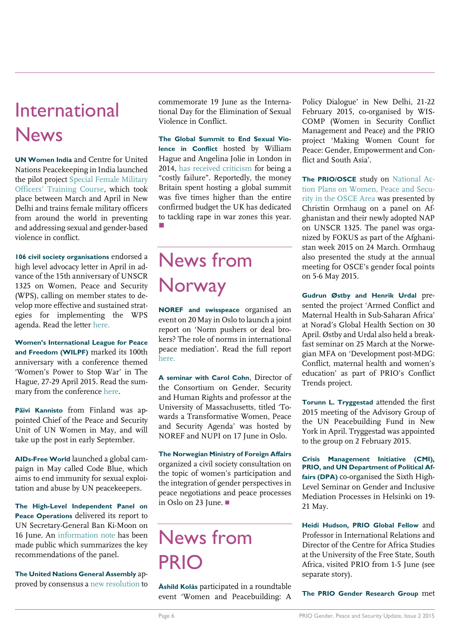## International News

**UN Women India** and Centre for United Nations Peacekeeping in India launched the pilot projec[t Special Female Military](http://www.unwomen.org/en/news/stories/2015/5/female-peacekeepers-take-the-helm)  [Officers' Training Course](http://www.unwomen.org/en/news/stories/2015/5/female-peacekeepers-take-the-helm), which took place between March and April in New Delhi and trains female military officers from around the world in preventing and addressing sexual and gender-based violence in conflict.

**106 civil society organisations** endorsed a high level advocacy letter in April in advance of the 15th anniversary of UNSCR 1325 on Women, Peace and Security (WPS), calling on member states to develop more effective and sustained strategies for implementing the WPS agenda. Read the letter [here.](http://www.wunrn.com/news/2015/04_15/04_20/042015_civil.htm)

**Women's International League for Peace and Freedom (WILPF)** marked its 100th anniversary with a conference themed 'Women's Power to Stop War' in The Hague, 27-29 April 2015. Read the summary from the conference [here.](http://www.womenstopwar.org/wp-content/uploads/2015/06/Conference-Summary-Final.pdf)

**Päivi Kannisto** from Finland was appointed Chief of the Peace and Security Unit of UN Women in May, and will take up the post in early September.

**AIDs-Free World** launched a global campaign in May called Code Blue, which aims to end immunity for sexual exploitation and abuse by UN peacekeepers.

**The High-Level Independent Panel on Peace Operations** delivered its report to UN Secretary-General Ban Ki-Moon on 16 June. An [information note](http://www.un.org/en/peacekeeping/documents/High-Level-Independent-Panel.pdf) has been made public which summarizes the key recommendations of the panel.

**The United Nations General Assembly** approved by consensus [a new resolution](http://www.un.org/apps/news/story.asp?NewsID=51202#.VYgvxPmqpBd) to commemorate 19 June as the International Day for the Elimination of Sexual Violence in Conflict.

**The Global Summit to End Sexual Violence in Conflict** hosted by William Hague and Angelina Jolie in London in 2014, [has received criticism](http://www.theguardian.com/global-development/2015/jun/13/warzone-rape-congo-questions-uk-campaign?CMP=share_btn_tw) for being a "costly failure". Reportedly, the money Britain spent hosting a global summit was five times higher than the entire confirmed budget the UK has dedicated to tackling rape in war zones this year.  $\overline{\phantom{a}}$ 

### News from **Norway**

**NOREF and swisspeace** organised an event on 20 May in Oslo to launch a joint report on 'Norm pushers or deal brokers? The role of norms in international peace mediation'. Read the full report [here.](http://peacebuilding.no/Themes/Peace-processes-and-mediation/publications/The-role-of-norms-in-international-peace-mediation)

**A seminar with Carol Cohn**, Director of the Consortium on Gender, Security and Human Rights and professor at the University of Massachusetts, titled 'Towards a Transformative Women, Peace and Security Agenda' was hosted by NOREF and NUPI on 17 June in Oslo.

**The Norwegian Ministry of Foreign Affairs** organized a civil society consultation on the topic of women's participation and the integration of gender perspectives in peace negotiations and peace processes in Oslo on 23 June.

## News from PRIO

**Åshild Kolås** participated in a roundtable event 'Women and Peacebuilding: A

Policy Dialogue' in New Delhi, 21-22 February 2015, co-organised by WIS-COMP (Women in Security Conflict Management and Peace) and the PRIO project 'Making Women Count for Peace: Gender, Empowerment and Conflict and South Asia'.

**The PRIO/OSCE** study on [National Ac](http://file.prio.no/Publication_files/Prio/Ormhaug%20-%20National%20Action%20Plans%20on%20Women,%20Peace%20and%20Security%20in%20the%20OSCE%20Area.pdf)[tion Plans on Women, Peace and Secu](http://file.prio.no/Publication_files/Prio/Ormhaug%20-%20National%20Action%20Plans%20on%20Women,%20Peace%20and%20Security%20in%20the%20OSCE%20Area.pdf)[rity in the OSCE Area](http://file.prio.no/Publication_files/Prio/Ormhaug%20-%20National%20Action%20Plans%20on%20Women,%20Peace%20and%20Security%20in%20the%20OSCE%20Area.pdf) was presented by Christin Ormhaug on a panel on Afghanistan and their newly adopted NAP on UNSCR 1325. The panel was organized by FOKUS as part of the Afghanistan week 2015 on 24 March. Ormhaug also presented the study at the annual meeting for OSCE's gender focal points on 5-6 May 2015.

**Gudrun Østby and Henrik Urdal** presented the project 'Armed Conflict and Maternal Health in Sub-Saharan Africa' at Norad's Global Health Section on 30 April. Østby and Urdal also held a breakfast seminar on 25 March at the Norwegian MFA on 'Development post-MDG: Conflict, maternal health and women's education' as part of PRIO's Conflict Trends project.

**Torunn L. Tryggestad** attended the first 2015 meeting of the Advisory Group of the UN Peacebuilding Fund in New York in April. Tryggestad was appointed to the group on 2 February 2015.

**Crisis Management Initiative (CMI), PRIO, and UN Department of Political Affairs (DPA)** co-organised the Sixth High-Level Seminar on Gender and Inclusive Mediation Processes in Helsinki on 19- 21 May.

**Heidi Hudson, PRIO Global Fellow** and Professor in International Relations and Director of the Centre for Africa Studies at the University of the Free State, South Africa, visited PRIO from 1-5 June (see separate story).

**The PRIO Gender Research Group** met